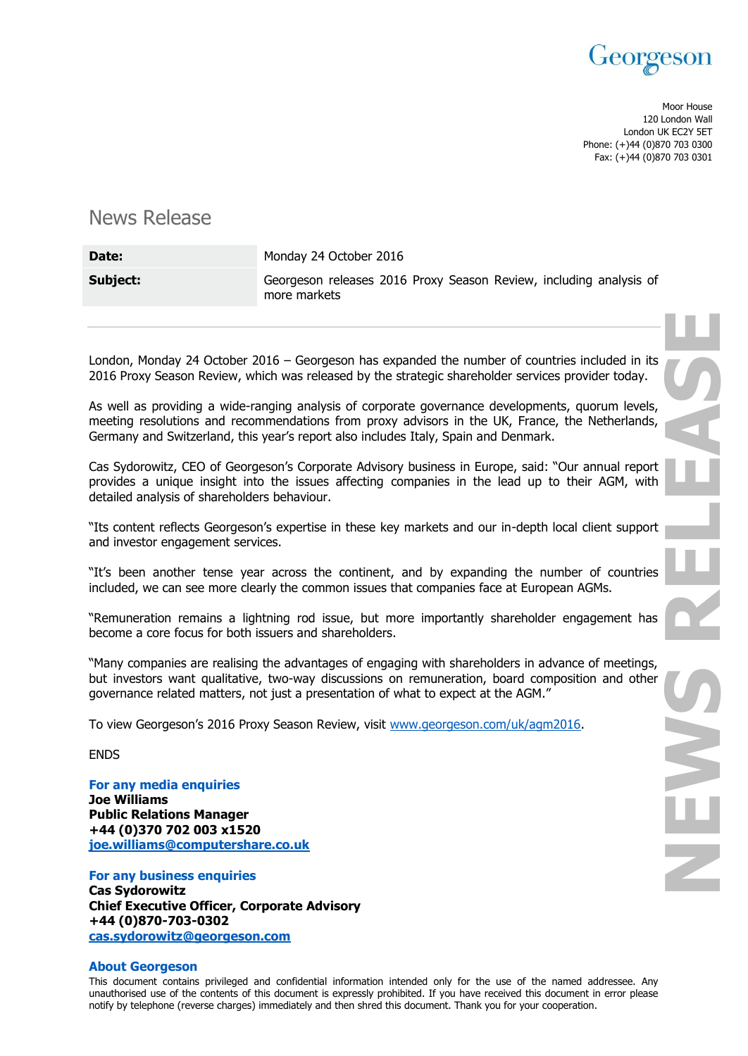

Moor House 120 London Wall London UK EC2Y 5ET Phone: (+)44 (0)870 703 0300 Fax: (+)44 (0)870 703 0301

## News Release

| Date:    | Monday 24 October 2016                                                             |
|----------|------------------------------------------------------------------------------------|
| Subject: | Georgeson releases 2016 Proxy Season Review, including analysis of<br>more markets |

London, Monday 24 October 2016 – Georgeson has expanded the number of countries included in its 2016 Proxy Season Review, which was released by the strategic shareholder services provider today.

As well as providing a wide-ranging analysis of corporate governance developments, quorum levels, meeting resolutions and recommendations from proxy advisors in the UK, France, the Netherlands, Germany and Switzerland, this year's report also includes Italy, Spain and Denmark.

Cas Sydorowitz, CEO of Georgeson's Corporate Advisory business in Europe, said: "Our annual report provides a unique insight into the issues affecting companies in the lead up to their AGM, with detailed analysis of shareholders behaviour.

"Its content reflects Georgeson's expertise in these key markets and our in-depth local client support and investor engagement services.

"It's been another tense year across the continent, and by expanding the number of countries included, we can see more clearly the common issues that companies face at European AGMs.

"Remuneration remains a lightning rod issue, but more importantly shareholder engagement has become a core focus for both issuers and shareholders.

"Many companies are realising the advantages of engaging with shareholders in advance of meetings, but investors want qualitative, two-way discussions on remuneration, board composition and other governance related matters, not just a presentation of what to expect at the AGM."

To view Georgeson's 2016 Proxy Season Review, visit [www.georgeson.com/uk/agm2016.](http://www.georgeson.com/uk/agm2016)

ENDS

**For any media enquiries**

**Joe Williams Public Relations Manager +44 (0)370 702 003 x1520 [joe.williams@computershare.co.uk](mailto:joe.williams@computershare.co.uk)**

**For any business enquiries Cas Sydorowitz Chief Executive Officer, Corporate Advisory +44 (0)870-703-0302 [cas.sydorowitz@georgeson.com](mailto:cas.sydorowitz@georgeson.com)**

## **About Georgeson**

This document contains privileged and confidential information intended only for the use of the named addressee. Any unauthorised use of the contents of this document is expressly prohibited. If you have received this document in error please notify by telephone (reverse charges) immediately and then shred this document. Thank you for your cooperation.